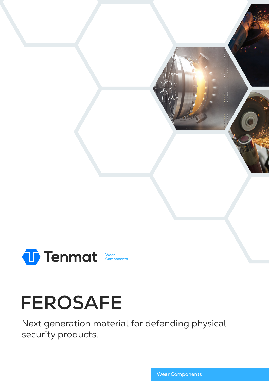

# **FEROSAFE**

Next generation material for defending physical security products.

Wear Components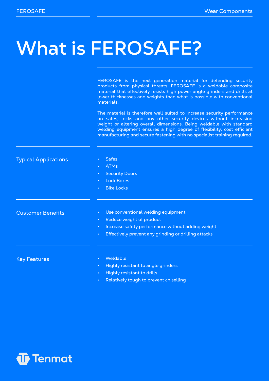### **What is FEROSAFE?**

FEROSAFE is the next generation material for defending security products from physical threats. FEROSAFE is a weldable composite material that effectively resists high power angle grinders and drills at lower thicknesses and weights than what is possible with conventional materials.

The material is therefore well suited to increase security performance on safes, locks and any other security devices without increasing weight or altering overall dimensions. Being weldable with standard welding equipment ensures a high degree of flexibility, cost efficient manufacturing and secure fastening with no specialist training required.

Typical Applications

- **Safes**
- ATMs
- **Security Doors**
- **Lock Boxes**
- **Bike Locks**

Customer Benefits

- Use conventional welding equipment
- Reduce weight of product
- Increase safety performance without adding weight
- Effectively prevent any grinding or drilling attacks

Key Features

- **Weldable**
- Highly resistant to angle grinders
- Highly resistant to drills
- Relatively tough to prevent chiselling

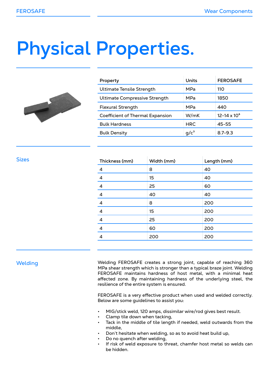# **Physical Properties.**



| Property                                | Units      | <b>FEROSAFE</b>       |
|-----------------------------------------|------------|-----------------------|
| <b>Ultimate Tensile Strength</b>        | MPa        | 110                   |
| <b>Ultimate Compressive Strength</b>    | MPa        | 1850                  |
| <b>Flexural Strength</b>                | MPa        | 440                   |
| <b>Coefficient of Thermal Expansion</b> | W/mK       | $12 - 14 \times 10^6$ |
| <b>Bulk Hardness</b>                    | <b>HRC</b> | $45 - 55$             |
| <b>Bulk Density</b>                     | $q/c^3$    | $8.7 - 9.3$           |

| Thickness (mm)   | Width (mm) | Length (mm) |
|------------------|------------|-------------|
| 4                | 8          | 40          |
| $\boldsymbol{4}$ | 15         | 40          |
| $\overline{4}$   | 25         | 60          |
| $\overline{a}$   | 40         | 40          |
| $\overline{a}$   | 8          | 200         |
| 4                | 15         | 200         |
| $\overline{4}$   | 25         | 200         |
| 4                | 60         | 200         |
| $\overline{a}$   | 200        | 200         |
|                  |            |             |

#### **Welding**

Sizes

Welding FEROSAFE creates a strong joint, capable of reaching 360 MPa shear strength which is stronger than a typical braze joint. Welding FEROSAFE maintains hardness of host metal, with a minimal heat affected zone. By maintaining hardness of the underlying steel, the resilience of the entire system is ensured.

FEROSAFE is a very effective product when used and welded correctly. Below are some guidelines to assist you:

- MIG/stick weld, 120 amps, dissimilar wire/rod gives best result.
- Clamp tile down when tacking,
- Tack in the middle of tile length if needed, weld outwards from the middle,
- Don't hesitate when welding, so as to avoid heat build up,
- Do no quench after welding,
- If risk of weld exposure to threat, chamfer host metal so welds can be hidden.